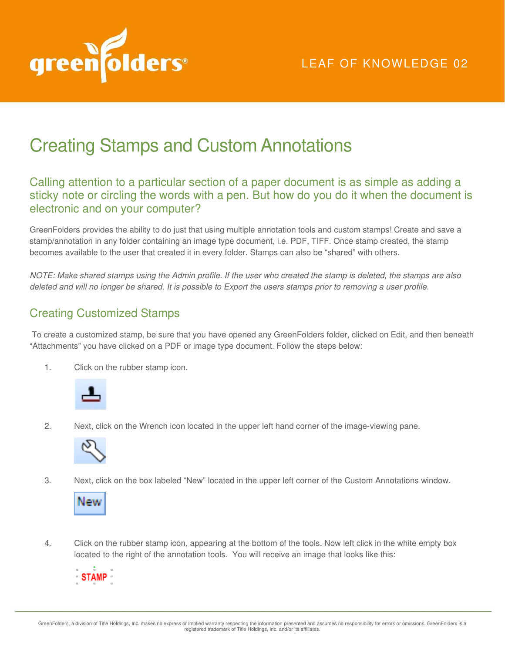

# Creating Stamps and Custom Annotations

## Calling attention to a particular section of a paper document is as simple as adding a sticky note or circling the words with a pen. But how do you do it when the document is electronic and on your computer?

GreenFolders provides the ability to do just that using multiple annotation tools and custom stamps! Create and save a stamp/annotation in any folder containing an image type document, i.e. PDF, TIFF. Once stamp created, the stamp becomes available to the user that created it in every folder. Stamps can also be "shared" with others.

*NOTE: Make shared stamps using the Admin profile. If the user who created the stamp is deleted, the stamps are also deleted and will no longer be shared. It is possible to Export the users stamps prior to removing a user profile.*

# Creating Customized Stamps

 To create a customized stamp, be sure that you have opened any GreenFolders folder, clicked on Edit, and then beneath "Attachments" you have clicked on a PDF or image type document. Follow the steps below:

1. Click on the rubber stamp icon.



2. Next, click on the Wrench icon located in the upper left hand corner of the image-viewing pane.



3. Next, click on the box labeled "New" located in the upper left corner of the Custom Annotations window.



4. Click on the rubber stamp icon, appearing at the bottom of the tools. Now left click in the white empty box located to the right of the annotation tools. You will receive an image that looks like this:

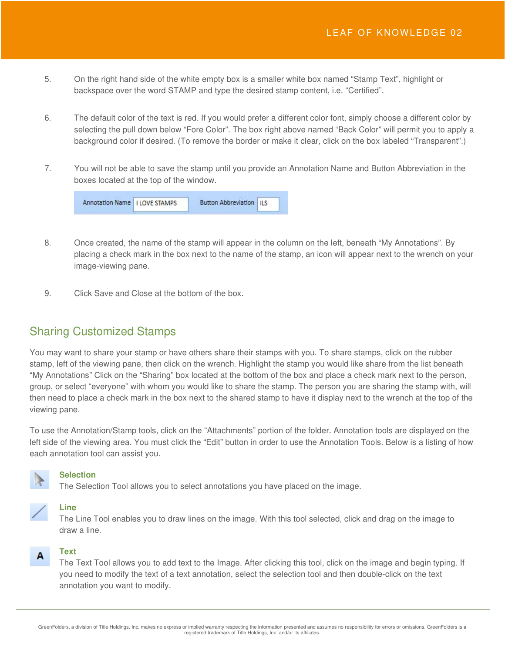- 5. On the right hand side of the white empty box is a smaller white box named "Stamp Text", highlight or backspace over the word STAMP and type the desired stamp content, i.e. "Certified".
- 6. The default color of the text is red. If you would prefer a different color font, simply choose a different color by selecting the pull down below "Fore Color". The box right above named "Back Color" will permit you to apply a background color if desired. (To remove the border or make it clear, click on the box labeled "Transparent".)
- 7. You will not be able to save the stamp until you provide an Annotation Name and Button Abbreviation in the boxes located at the top of the window.



- 8. Once created, the name of the stamp will appear in the column on the left, beneath "My Annotations". By placing a check mark in the box next to the name of the stamp, an icon will appear next to the wrench on your image-viewing pane.
- 9. Click Save and Close at the bottom of the box.

# Sharing Customized Stamps

You may want to share your stamp or have others share their stamps with you. To share stamps, click on the rubber stamp, left of the viewing pane, then click on the wrench. Highlight the stamp you would like share from the list beneath "My Annotations" Click on the "Sharing" box located at the bottom of the box and place a check mark next to the person, group, or select "everyone" with whom you would like to share the stamp. The person you are sharing the stamp with, will then need to place a check mark in the box next to the shared stamp to have it display next to the wrench at the top of the viewing pane.

To use the Annotation/Stamp tools, click on the "Attachments" portion of the folder. Annotation tools are displayed on the left side of the viewing area. You must click the "Edit" button in order to use the Annotation Tools. Below is a listing of how each annotation tool can assist you.



## **Selection**

The Selection Tool allows you to select annotations you have placed on the image.

# **Line**

A

The Line Tool enables you to draw lines on the image. With this tool selected, click and drag on the image to draw a line.

## **Text**

The Text Tool allows you to add text to the Image. After clicking this tool, click on the image and begin typing. If you need to modify the text of a text annotation, select the selection tool and then double-click on the text annotation you want to modify.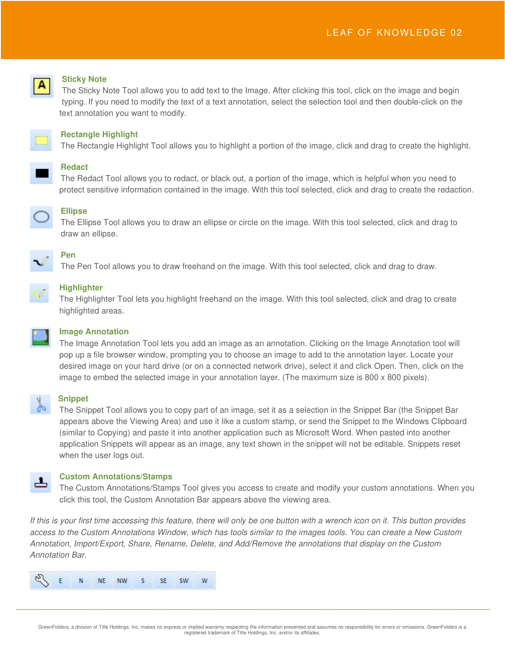

## **Sticky Note**

The Sticky Note Tool allows you to add text to the Image. After clicking this tool, click on the image and begin typing. If you need to modify the text of a text annotation, select the selection tool and then double-click on the text annotation you want to modify.



#### **Rectangle Highlight**

The Rectangle Highlight Tool allows you to highlight a portion of the image, click and drag to create the highlight.

# **Redact**

The Redact Tool allows you to redact, or black out, a portion of the image, which is helpful when you need to protect sensitive information contained in the image. With this tool selected, click and drag to create the redaction.



### **Ellipse**

The Ellipse Tool allows you to draw an ellipse or circle on the image. With this tool selected, click and drag to draw an ellipse.



# The Pen Tool allows you to draw freehand on the image. With this tool selected, click and drag to draw.

**Pen**

## **Highlighter**

The Highlighter Tool lets you highlight freehand on the image. With this tool selected, click and drag to create highlighted areas.



## **Image Annotation**

The Image Annotation Tool lets you add an image as an annotation. Clicking on the Image Annotation tool will pop up a file browser window, prompting you to choose an image to add to the annotation layer. Locate your desired image on your hard drive (or on a connected network drive), select it and click Open. Then, click on the image to embed the selected image in your annotation layer. (The maximum size is 800 x 800 pixels).

ட

#### **Snippet**

The Snippet Tool allows you to copy part of an image, set it as a selection in the Snippet Bar (the Snippet Bar appears above the Viewing Area) and use it like a custom stamp, or send the Snippet to the Windows Clipboard (similar to Copying) and paste it into another application such as Microsoft Word. When pasted into another application Snippets will appear as an image, any text shown in the snippet will not be editable. Snippets reset when the user logs out.

## **Custom Annotations/Stamps**

The Custom Annotations/Stamps Tool gives you access to create and modify your custom annotations. When you click this tool, the Custom Annotation Bar appears above the viewing area.

If this is your first time accessing this feature, there will only be one button with a wrench icon on it. This button provides *access to the Custom Annotations Window, which has tools similar to the images tools. You can create a New Custom Annotation, Import/Export, Share, Rename, Delete, and Add/Remove the annotations that display on the Custom Annotation Bar.* 

| EN NE NW S SE SW W |  |  |  |  |  |  |  |  |
|--------------------|--|--|--|--|--|--|--|--|
|--------------------|--|--|--|--|--|--|--|--|